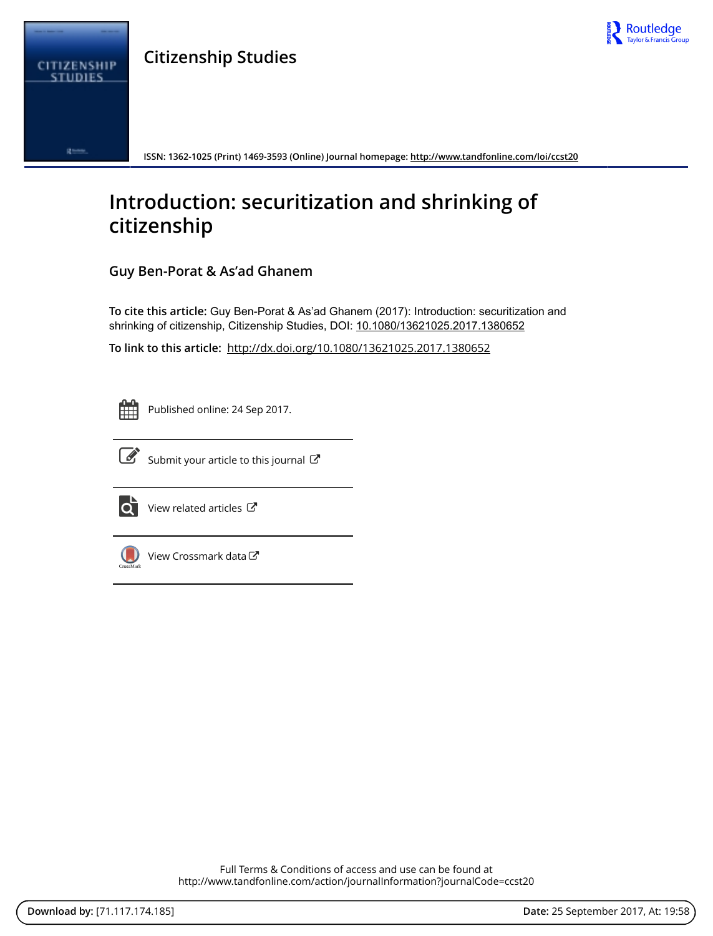

## **Citizenship Studies**



**ISSN: 1362-1025 (Print) 1469-3593 (Online) Journal homepage:<http://www.tandfonline.com/loi/ccst20>**

# **Introduction: securitization and shrinking of citizenship**

**Guy Ben-Porat & As'ad Ghanem**

**To cite this article:** Guy Ben-Porat & As'ad Ghanem (2017): Introduction: securitization and shrinking of citizenship, Citizenship Studies, DOI: [10.1080/13621025.2017.1380652](http://www.tandfonline.com/action/showCitFormats?doi=10.1080/13621025.2017.1380652)

**To link to this article:** <http://dx.doi.org/10.1080/13621025.2017.1380652>



Published online: 24 Sep 2017.



 $\overrightarrow{S}$  [Submit your article to this journal](http://www.tandfonline.com/action/authorSubmission?journalCode=ccst20&show=instructions)  $\overrightarrow{S}$ 



 $\overrightarrow{Q}$  [View related articles](http://www.tandfonline.com/doi/mlt/10.1080/13621025.2017.1380652)  $\overrightarrow{C}$ 



[View Crossmark data](http://crossmark.crossref.org/dialog/?doi=10.1080/13621025.2017.1380652&domain=pdf&date_stamp=2017-09-24)  $\sigma$ 

Full Terms & Conditions of access and use can be found at <http://www.tandfonline.com/action/journalInformation?journalCode=ccst20>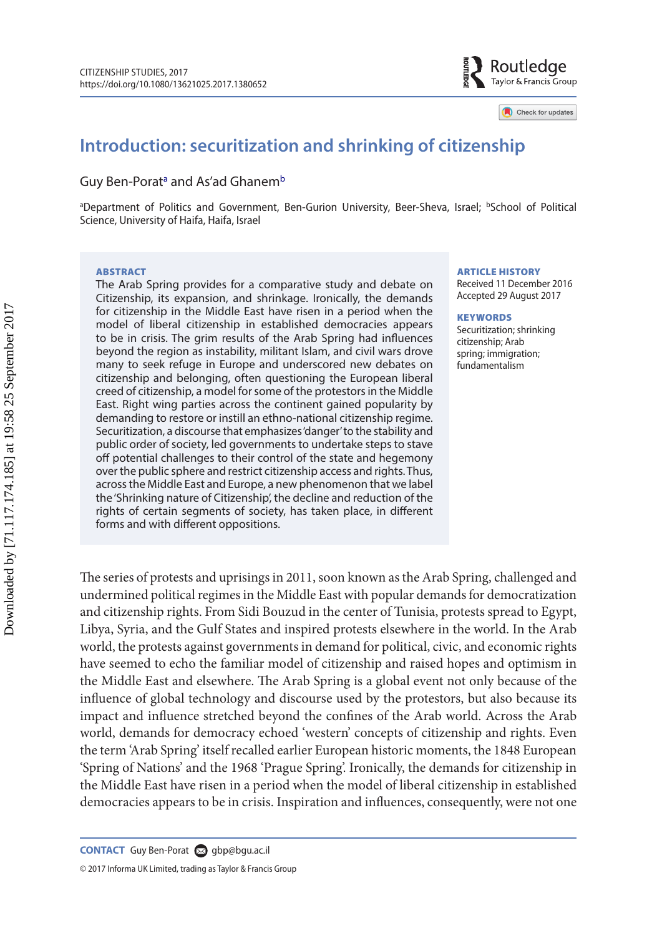

Check for updates

## **Introduction: securitization and shrinking of citizenship**

Guy Ben-Por[a](#page-1-0)t<sup>a</sup> and As'ad Ghanem<sup>b</sup>

<span id="page-1-1"></span><span id="page-1-0"></span><sup>a</sup>Department of Politics and Government, Ben-Gurion University, Beer-Sheva, Israel; <sup>b</sup>School of Political Science, University of Haifa, Haifa, Israel

### **ARSTRACT**

The Arab Spring provides for a comparative study and debate on Citizenship, its expansion, and shrinkage. Ironically, the demands for citizenship in the Middle East have risen in a period when the model of liberal citizenship in established democracies appears to be in crisis. The grim results of the Arab Spring had influences beyond the region as instability, militant Islam, and civil wars drove many to seek refuge in Europe and underscored new debates on citizenship and belonging, often questioning the European liberal creed of citizenship, a model for some of the protestors in the Middle East. Right wing parties across the continent gained popularity by demanding to restore or instill an ethno-national citizenship regime. Securitization, a discourse that emphasizes 'danger' to the stability and public order of society, led governments to undertake steps to stave off potential challenges to their control of the state and hegemony over the public sphere and restrict citizenship access and rights. Thus, across the Middle East and Europe, a new phenomenon that we label the 'Shrinking nature of Citizenship', the decline and reduction of the rights of certain segments of society, has taken place, in different forms and with different oppositions.

#### **ARTICLE HISTORY**

Received 11 December 2016 Accepted 29 August 2017

#### **KEYWORDS**

Securitization; shrinking citizenship; Arab spring; immigration; fundamentalism

The series of protests and uprisings in 2011, soon known as the Arab Spring, challenged and undermined political regimes in the Middle East with popular demands for democratization and citizenship rights. From Sidi Bouzud in the center of Tunisia, protests spread to Egypt, Libya, Syria, and the Gulf States and inspired protests elsewhere in the world. In the Arab world, the protests against governments in demand for political, civic, and economic rights have seemed to echo the familiar model of citizenship and raised hopes and optimism in the Middle East and elsewhere. The Arab Spring is a global event not only because of the influence of global technology and discourse used by the protestors, but also because its impact and influence stretched beyond the confines of the Arab world. Across the Arab world, demands for democracy echoed 'western' concepts of citizenship and rights. Even the term 'Arab Spring' itself recalled earlier European historic moments, the 1848 European 'Spring of Nations' and the 1968 'Prague Spring'. Ironically, the demands for citizenship in the Middle East have risen in a period when the model of liberal citizenship in established democracies appears to be in crisis. Inspiration and influences, consequently, were not one

© 2017 Informa UK Limited, trading as Taylor & Francis Group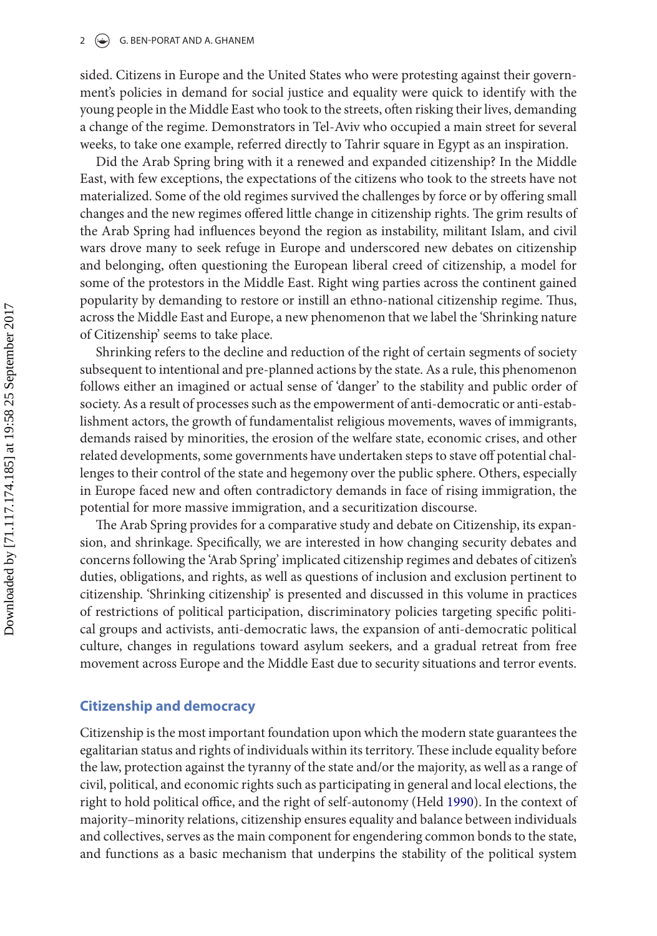## 2  $\left(\frac{1}{2}\right)$  G. BEN-PORAT AND A. GHANEM

sided. Citizens in Europe and the United States who were protesting against their government's policies in demand for social justice and equality were quick to identify with the young people in the Middle East who took to the streets, often risking their lives, demanding a change of the regime. Demonstrators in Tel-Aviv who occupied a main street for several weeks, to take one example, referred directly to Tahrir square in Egypt as an inspiration.

Did the Arab Spring bring with it a renewed and expanded citizenship? In the Middle East, with few exceptions, the expectations of the citizens who took to the streets have not materialized. Some of the old regimes survived the challenges by force or by offering small changes and the new regimes offered little change in citizenship rights. The grim results of the Arab Spring had influences beyond the region as instability, militant Islam, and civil wars drove many to seek refuge in Europe and underscored new debates on citizenship and belonging, often questioning the European liberal creed of citizenship, a model for some of the protestors in the Middle East. Right wing parties across the continent gained popularity by demanding to restore or instill an ethno-national citizenship regime. Thus, across the Middle East and Europe, a new phenomenon that we label the 'Shrinking nature of Citizenship' seems to take place.

Shrinking refers to the decline and reduction of the right of certain segments of society subsequent to intentional and pre-planned actions by the state. As a rule, this phenomenon follows either an imagined or actual sense of 'danger' to the stability and public order of society. As a result of processes such as the empowerment of anti-democratic or anti-establishment actors, the growth of fundamentalist religious movements, waves of immigrants, demands raised by minorities, the erosion of the welfare state, economic crises, and other related developments, some governments have undertaken steps to stave off potential challenges to their control of the state and hegemony over the public sphere. Others, especially in Europe faced new and often contradictory demands in face of rising immigration, the potential for more massive immigration, and a securitization discourse.

The Arab Spring provides for a comparative study and debate on Citizenship, its expansion, and shrinkage. Specifically, we are interested in how changing security debates and concerns following the 'Arab Spring' implicated citizenship regimes and debates of citizen's duties, obligations, and rights, as well as questions of inclusion and exclusion pertinent to citizenship. 'Shrinking citizenship' is presented and discussed in this volume in practices of restrictions of political participation, discriminatory policies targeting specific political groups and activists, anti-democratic laws, the expansion of anti-democratic political culture, changes in regulations toward asylum seekers, and a gradual retreat from free movement across Europe and the Middle East due to security situations and terror events.

## **Citizenship and democracy**

<span id="page-2-0"></span>Citizenship is the most important foundation upon which the modern state guarantees the egalitarian status and rights of individuals within its territory. These include equality before the law, protection against the tyranny of the state and/or the majority, as well as a range of civil, political, and economic rights such as participating in general and local elections, the right to hold political office, and the right of self-autonomy (Held [1990\)](#page-10-0). In the context of majority–minority relations, citizenship ensures equality and balance between individuals and collectives, serves as the main component for engendering common bonds to the state, and functions as a basic mechanism that underpins the stability of the political system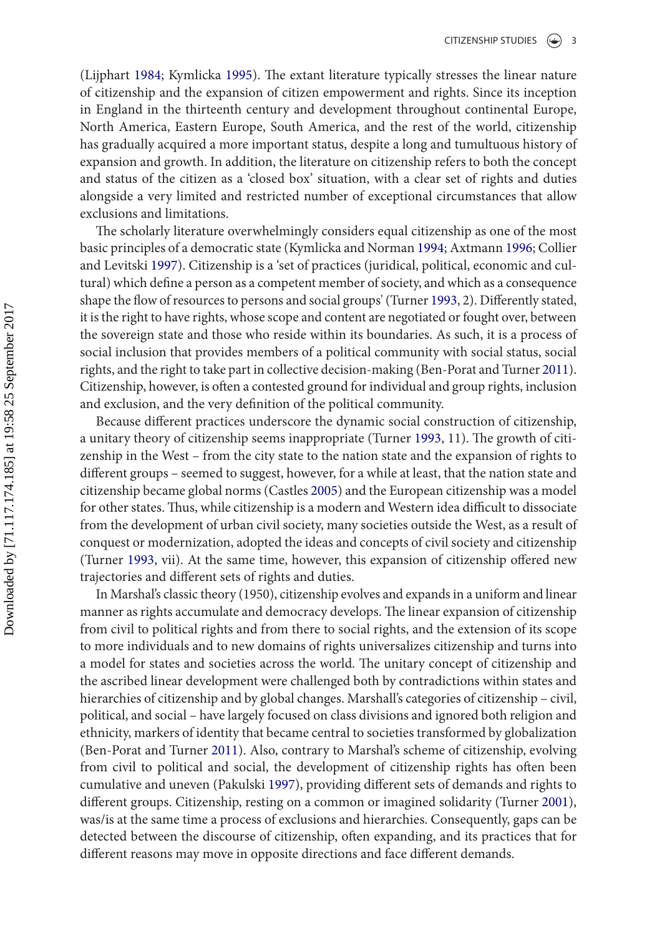<span id="page-3-6"></span><span id="page-3-4"></span>(Lijphart [1984;](#page-10-1) Kymlicka [1995\)](#page-10-2). The extant literature typically stresses the linear nature of citizenship and the expansion of citizen empowerment and rights. Since its inception in England in the thirteenth century and development throughout continental Europe, North America, Eastern Europe, South America, and the rest of the world, citizenship has gradually acquired a more important status, despite a long and tumultuous history of expansion and growth. In addition, the literature on citizenship refers to both the concept and status of the citizen as a 'closed box' situation, with a clear set of rights and duties alongside a very limited and restricted number of exceptional circumstances that allow exclusions and limitations.

<span id="page-3-8"></span><span id="page-3-5"></span><span id="page-3-3"></span><span id="page-3-0"></span>The scholarly literature overwhelmingly considers equal citizenship as one of the most basic principles of a democratic state (Kymlicka and Norman [1994;](#page-10-3) Axtmann [1996;](#page-10-4) Collier and Levitski [1997](#page-10-5)). Citizenship is a 'set of practices (juridical, political, economic and cultural) which define a person as a competent member of society, and which as a consequence shape the flow of resources to persons and social groups' (Turner [1993](#page-11-0), 2). Differently stated, it is the right to have rights, whose scope and content are negotiated or fought over, between the sovereign state and those who reside within its boundaries. As such, it is a process of social inclusion that provides members of a political community with social status, social rights, and the right to take part in collective decision-making (Ben-Porat and Turner [2011](#page-10-6)). Citizenship, however, is often a contested ground for individual and group rights, inclusion and exclusion, and the very definition of the political community.

<span id="page-3-2"></span><span id="page-3-1"></span>Because different practices underscore the dynamic social construction of citizenship, a unitary theory of citizenship seems inappropriate (Turner [1993](#page-11-0), 11). The growth of citizenship in the West – from the city state to the nation state and the expansion of rights to different groups – seemed to suggest, however, for a while at least, that the nation state and citizenship became global norms (Castles [2005\)](#page-10-7) and the European citizenship was a model for other states. Thus, while citizenship is a modern and Western idea difficult to dissociate from the development of urban civil society, many societies outside the West, as a result of conquest or modernization, adopted the ideas and concepts of civil society and citizenship (Turner [1993,](#page-11-0) vii). At the same time, however, this expansion of citizenship offered new trajectories and different sets of rights and duties.

<span id="page-3-9"></span><span id="page-3-7"></span>In Marshal's classic theory (1950), citizenship evolves and expands in a uniform and linear manner as rights accumulate and democracy develops. The linear expansion of citizenship from civil to political rights and from there to social rights, and the extension of its scope to more individuals and to new domains of rights universalizes citizenship and turns into a model for states and societies across the world. The unitary concept of citizenship and the ascribed linear development were challenged both by contradictions within states and hierarchies of citizenship and by global changes. Marshall's categories of citizenship – civil, political, and social – have largely focused on class divisions and ignored both religion and ethnicity, markers of identity that became central to societies transformed by globalization (Ben-Porat and Turner [2011](#page-10-6)). Also, contrary to Marshal's scheme of citizenship, evolving from civil to political and social, the development of citizenship rights has often been cumulative and uneven (Pakulski [1997\)](#page-10-8), providing different sets of demands and rights to different groups. Citizenship, resting on a common or imagined solidarity (Turner [2001](#page-11-1)), was/is at the same time a process of exclusions and hierarchies. Consequently, gaps can be detected between the discourse of citizenship, often expanding, and its practices that for different reasons may move in opposite directions and face different demands.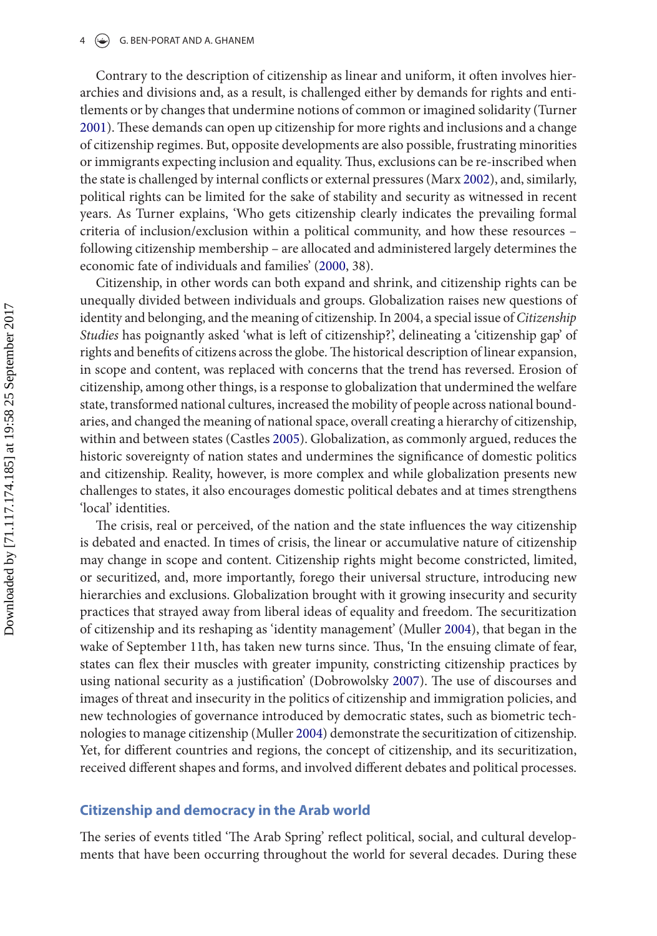## 4 **G. BEN-PORAT AND A. GHANEM**

<span id="page-4-1"></span>Contrary to the description of citizenship as linear and uniform, it often involves hierarchies and divisions and, as a result, is challenged either by demands for rights and entitlements or by changes that undermine notions of common or imagined solidarity (Turner [2001](#page-11-1)). These demands can open up citizenship for more rights and inclusions and a change of citizenship regimes. But, opposite developments are also possible, frustrating minorities or immigrants expecting inclusion and equality. Thus, exclusions can be re-inscribed when the state is challenged by internal conflicts or external pressures (Marx [2002\)](#page-10-9), and, similarly, political rights can be limited for the sake of stability and security as witnessed in recent years. As Turner explains, 'Who gets citizenship clearly indicates the prevailing formal criteria of inclusion/exclusion within a political community, and how these resources – following citizenship membership – are allocated and administered largely determines the economic fate of individuals and families' ([2000,](#page-11-2) 38).

<span id="page-4-3"></span>Citizenship, in other words can both expand and shrink, and citizenship rights can be unequally divided between individuals and groups. Globalization raises new questions of identity and belonging, and the meaning of citizenship. In 2004, a special issue of *Citizenship Studies* has poignantly asked 'what is left of citizenship?', delineating a 'citizenship gap' of rights and benefits of citizens across the globe. The historical description of linear expansion, in scope and content, was replaced with concerns that the trend has reversed. Erosion of citizenship, among other things, is a response to globalization that undermined the welfare state, transformed national cultures, increased the mobility of people across national boundaries, and changed the meaning of national space, overall creating a hierarchy of citizenship, within and between states (Castles [2005](#page-10-7)). Globalization, as commonly argued, reduces the historic sovereignty of nation states and undermines the significance of domestic politics and citizenship. Reality, however, is more complex and while globalization presents new challenges to states, it also encourages domestic political debates and at times strengthens 'local' identities.

<span id="page-4-2"></span>The crisis, real or perceived, of the nation and the state influences the way citizenship is debated and enacted. In times of crisis, the linear or accumulative nature of citizenship may change in scope and content. Citizenship rights might become constricted, limited, or securitized, and, more importantly, forego their universal structure, introducing new hierarchies and exclusions. Globalization brought with it growing insecurity and security practices that strayed away from liberal ideas of equality and freedom. The securitization of citizenship and its reshaping as 'identity management' (Muller [2004](#page-10-10)), that began in the wake of September 11th, has taken new turns since. Thus, 'In the ensuing climate of fear, states can flex their muscles with greater impunity, constricting citizenship practices by using national security as a justification' (Dobrowolsky [2007](#page-10-11)). The use of discourses and images of threat and insecurity in the politics of citizenship and immigration policies, and new technologies of governance introduced by democratic states, such as biometric technologies to manage citizenship (Muller [2004](#page-10-10)) demonstrate the securitization of citizenship. Yet, for different countries and regions, the concept of citizenship, and its securitization, received different shapes and forms, and involved different debates and political processes.

## <span id="page-4-0"></span>**Citizenship and democracy in the Arab world**

The series of events titled 'The Arab Spring' reflect political, social, and cultural developments that have been occurring throughout the world for several decades. During these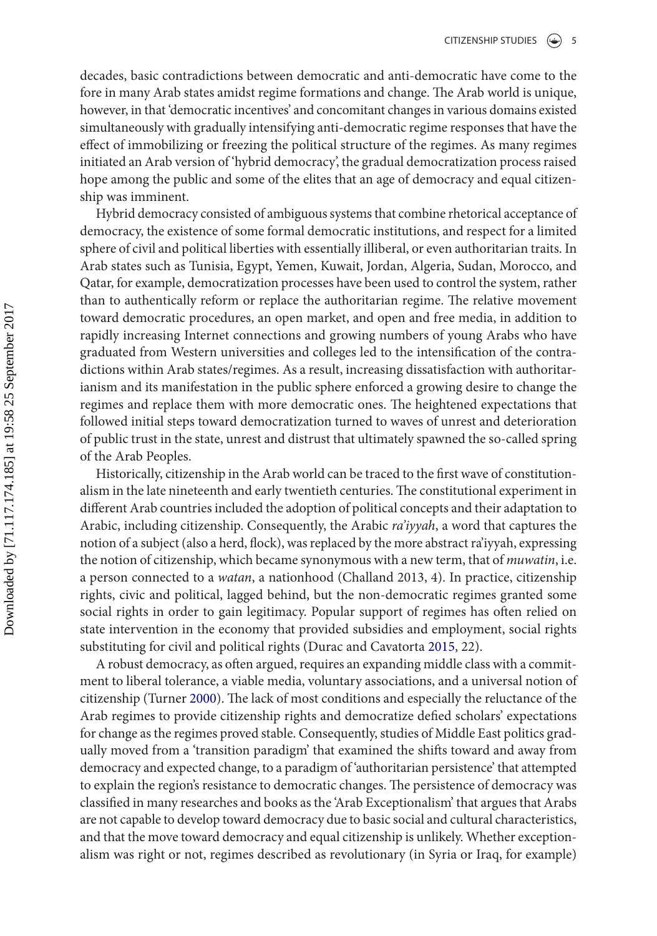decades, basic contradictions between democratic and anti-democratic have come to the fore in many Arab states amidst regime formations and change. The Arab world is unique, however, in that 'democratic incentives' and concomitant changes in various domains existed simultaneously with gradually intensifying anti-democratic regime responses that have the effect of immobilizing or freezing the political structure of the regimes. As many regimes initiated an Arab version of 'hybrid democracy', the gradual democratization process raised hope among the public and some of the elites that an age of democracy and equal citizenship was imminent.

Hybrid democracy consisted of ambiguous systems that combine rhetorical acceptance of democracy, the existence of some formal democratic institutions, and respect for a limited sphere of civil and political liberties with essentially illiberal, or even authoritarian traits. In Arab states such as Tunisia, Egypt, Yemen, Kuwait, Jordan, Algeria, Sudan, Morocco, and Qatar, for example, democratization processes have been used to control the system, rather than to authentically reform or replace the authoritarian regime. The relative movement toward democratic procedures, an open market, and open and free media, in addition to rapidly increasing Internet connections and growing numbers of young Arabs who have graduated from Western universities and colleges led to the intensification of the contradictions within Arab states/regimes. As a result, increasing dissatisfaction with authoritarianism and its manifestation in the public sphere enforced a growing desire to change the regimes and replace them with more democratic ones. The heightened expectations that followed initial steps toward democratization turned to waves of unrest and deterioration of public trust in the state, unrest and distrust that ultimately spawned the so-called spring of the Arab Peoples.

Historically, citizenship in the Arab world can be traced to the first wave of constitutionalism in the late nineteenth and early twentieth centuries. The constitutional experiment in different Arab countries included the adoption of political concepts and their adaptation to Arabic, including citizenship. Consequently, the Arabic *ra'iyyah*, a word that captures the notion of a subject (also a herd, flock), was replaced by the more abstract ra'iyyah, expressing the notion of citizenship, which became synonymous with a new term, that of *muwatin*, i.e. a person connected to a *watan*, a nationhood (Challand 2013, 4). In practice, citizenship rights, civic and political, lagged behind, but the non-democratic regimes granted some social rights in order to gain legitimacy. Popular support of regimes has often relied on state intervention in the economy that provided subsidies and employment, social rights substituting for civil and political rights (Durac and Cavatorta [2015,](#page-10-12) 22).

<span id="page-5-0"></span>A robust democracy, as often argued, requires an expanding middle class with a commitment to liberal tolerance, a viable media, voluntary associations, and a universal notion of citizenship (Turner [2000\)](#page-11-2). The lack of most conditions and especially the reluctance of the Arab regimes to provide citizenship rights and democratize defied scholars' expectations for change as the regimes proved stable. Consequently, studies of Middle East politics gradually moved from a 'transition paradigm' that examined the shifts toward and away from democracy and expected change, to a paradigm of 'authoritarian persistence' that attempted to explain the region's resistance to democratic changes. The persistence of democracy was classified in many researches and books as the 'Arab Exceptionalism' that argues that Arabs are not capable to develop toward democracy due to basic social and cultural characteristics, and that the move toward democracy and equal citizenship is unlikely. Whether exceptionalism was right or not, regimes described as revolutionary (in Syria or Iraq, for example)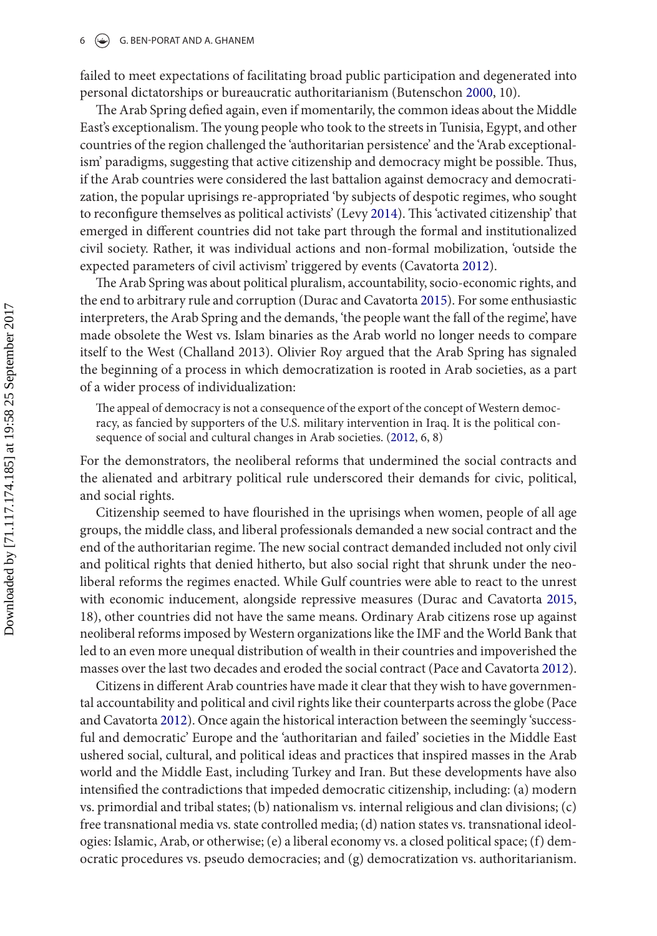### 6 G. BEN-PORAT AND A. GHANEM

<span id="page-6-0"></span>failed to meet expectations of facilitating broad public participation and degenerated into personal dictatorships or bureaucratic authoritarianism (Butenschon [2000](#page-10-13), 10).

The Arab Spring defied again, even if momentarily, the common ideas about the Middle East's exceptionalism. The young people who took to the streets in Tunisia, Egypt, and other countries of the region challenged the 'authoritarian persistence' and the 'Arab exceptionalism' paradigms, suggesting that active citizenship and democracy might be possible. Thus, if the Arab countries were considered the last battalion against democracy and democratization, the popular uprisings re-appropriated 'by subjects of despotic regimes, who sought to reconfigure themselves as political activists' (Levy [2014\)](#page-10-14). This 'activated citizenship' that emerged in different countries did not take part through the formal and institutionalized civil society. Rather, it was individual actions and non-formal mobilization, 'outside the expected parameters of civil activism' triggered by events (Cavatorta [2012](#page-10-15)).

<span id="page-6-2"></span>The Arab Spring was about political pluralism, accountability, socio-economic rights, and the end to arbitrary rule and corruption (Durac and Cavatorta [2015\)](#page-10-12). For some enthusiastic interpreters, the Arab Spring and the demands, 'the people want the fall of the regime', have made obsolete the West vs. Islam binaries as the Arab world no longer needs to compare itself to the West (Challand 2013). Olivier Roy argued that the Arab Spring has signaled the beginning of a process in which democratization is rooted in Arab societies, as a part of a wider process of individualization:

<span id="page-6-4"></span><span id="page-6-1"></span>The appeal of democracy is not a consequence of the export of the concept of Western democracy, as fancied by supporters of the U.S. military intervention in Iraq. It is the political consequence of social and cultural changes in Arab societies. [\(2012,](#page-11-3) 6, 8)

For the demonstrators, the neoliberal reforms that undermined the social contracts and the alienated and arbitrary political rule underscored their demands for civic, political, and social rights.

Citizenship seemed to have flourished in the uprisings when women, people of all age groups, the middle class, and liberal professionals demanded a new social contract and the end of the authoritarian regime. The new social contract demanded included not only civil and political rights that denied hitherto, but also social right that shrunk under the neoliberal reforms the regimes enacted. While Gulf countries were able to react to the unrest with economic inducement, alongside repressive measures (Durac and Cavatorta [2015,](#page-10-12) 18), other countries did not have the same means. Ordinary Arab citizens rose up against neoliberal reforms imposed by Western organizations like the IMF and the World Bank that led to an even more unequal distribution of wealth in their countries and impoverished the masses over the last two decades and eroded the social contract (Pace and Cavatorta [2012](#page-10-16)).

<span id="page-6-3"></span>Citizens in different Arab countries have made it clear that they wish to have governmental accountability and political and civil rights like their counterparts across the globe (Pace and Cavatorta [2012\)](#page-10-16). Once again the historical interaction between the seemingly 'successful and democratic' Europe and the 'authoritarian and failed' societies in the Middle East ushered social, cultural, and political ideas and practices that inspired masses in the Arab world and the Middle East, including Turkey and Iran. But these developments have also intensified the contradictions that impeded democratic citizenship, including: (a) modern vs. primordial and tribal states; (b) nationalism vs. internal religious and clan divisions; (c) free transnational media vs. state controlled media; (d) nation states vs. transnational ideologies: Islamic, Arab, or otherwise; (e) a liberal economy vs. a closed political space; (f) democratic procedures vs. pseudo democracies; and (g) democratization vs. authoritarianism.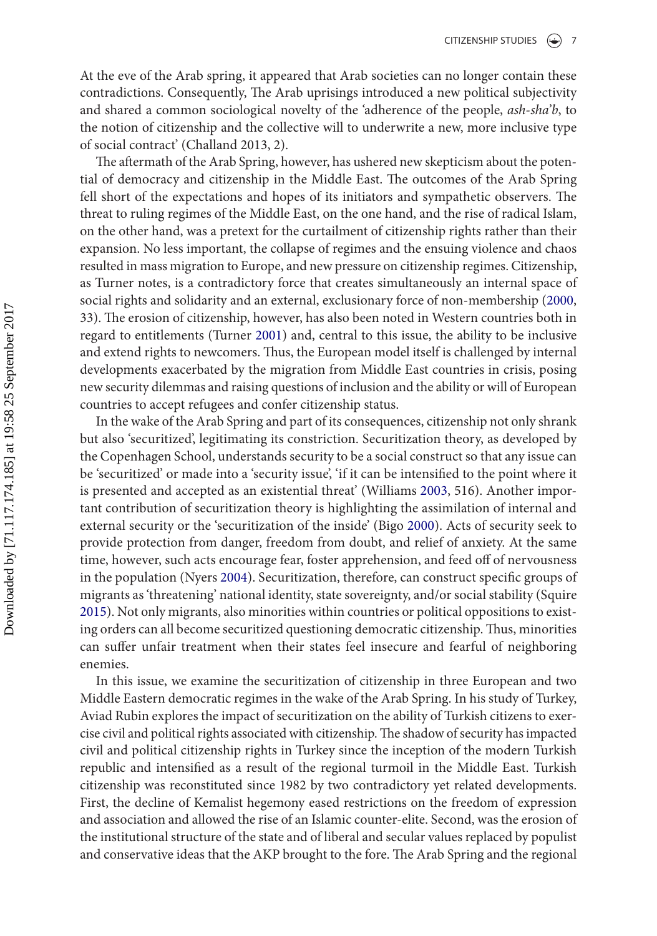At the eve of the Arab spring, it appeared that Arab societies can no longer contain these contradictions. Consequently, The Arab uprisings introduced a new political subjectivity and shared a common sociological novelty of the 'adherence of the people, *ash*-*sha'b*, to the notion of citizenship and the collective will to underwrite a new, more inclusive type of social contract' (Challand 2013, 2).

The aftermath of the Arab Spring, however, has ushered new skepticism about the potential of democracy and citizenship in the Middle East. The outcomes of the Arab Spring fell short of the expectations and hopes of its initiators and sympathetic observers. The threat to ruling regimes of the Middle East, on the one hand, and the rise of radical Islam, on the other hand, was a pretext for the curtailment of citizenship rights rather than their expansion. No less important, the collapse of regimes and the ensuing violence and chaos resulted in mass migration to Europe, and new pressure on citizenship regimes. Citizenship, as Turner notes, is a contradictory force that creates simultaneously an internal space of social rights and solidarity and an external, exclusionary force of non-membership ([2000,](#page-11-2) 33). The erosion of citizenship, however, has also been noted in Western countries both in regard to entitlements (Turner [2001](#page-11-1)) and, central to this issue, the ability to be inclusive and extend rights to newcomers. Thus, the European model itself is challenged by internal developments exacerbated by the migration from Middle East countries in crisis, posing new security dilemmas and raising questions of inclusion and the ability or will of European countries to accept refugees and confer citizenship status.

<span id="page-7-3"></span><span id="page-7-0"></span>In the wake of the Arab Spring and part of its consequences, citizenship not only shrank but also 'securitized', legitimating its constriction. Securitization theory, as developed by the Copenhagen School, understands security to be a social construct so that any issue can be 'securitized' or made into a 'security issue', 'if it can be intensified to the point where it is presented and accepted as an existential threat' (Williams [2003](#page-11-4), 516). Another important contribution of securitization theory is highlighting the assimilation of internal and external security or the 'securitization of the inside' (Bigo [2000](#page-10-17)). Acts of security seek to provide protection from danger, freedom from doubt, and relief of anxiety. At the same time, however, such acts encourage fear, foster apprehension, and feed off of nervousness in the population (Nyers [2004\)](#page-10-18). Securitization, therefore, can construct specific groups of migrants as 'threatening' national identity, state sovereignty, and/or social stability (Squire [2015](#page-11-5)). Not only migrants, also minorities within countries or political oppositions to existing orders can all become securitized questioning democratic citizenship. Thus, minorities can suffer unfair treatment when their states feel insecure and fearful of neighboring enemies.

<span id="page-7-2"></span><span id="page-7-1"></span>In this issue, we examine the securitization of citizenship in three European and two Middle Eastern democratic regimes in the wake of the Arab Spring. In his study of Turkey, Aviad Rubin explores the impact of securitization on the ability of Turkish citizens to exercise civil and political rights associated with citizenship. The shadow of security has impacted civil and political citizenship rights in Turkey since the inception of the modern Turkish republic and intensified as a result of the regional turmoil in the Middle East. Turkish citizenship was reconstituted since 1982 by two contradictory yet related developments. First, the decline of Kemalist hegemony eased restrictions on the freedom of expression and association and allowed the rise of an Islamic counter-elite. Second, was the erosion of the institutional structure of the state and of liberal and secular values replaced by populist and conservative ideas that the AKP brought to the fore. The Arab Spring and the regional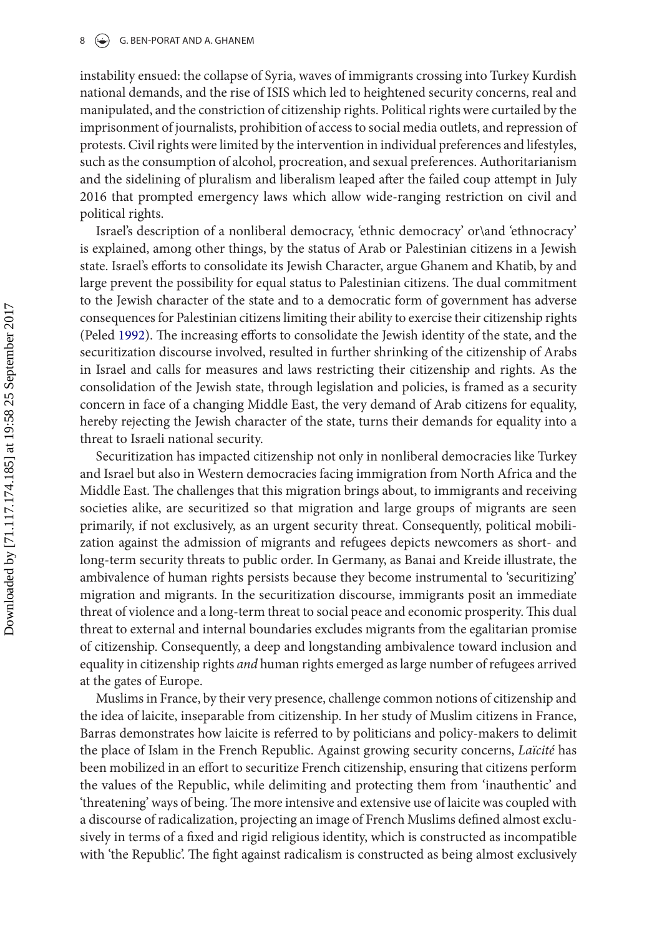## 8 **G. BEN-PORAT AND A. GHANEM**

instability ensued: the collapse of Syria, waves of immigrants crossing into Turkey Kurdish national demands, and the rise of ISIS which led to heightened security concerns, real and manipulated, and the constriction of citizenship rights. Political rights were curtailed by the imprisonment of journalists, prohibition of access to social media outlets, and repression of protests. Civil rights were limited by the intervention in individual preferences and lifestyles, such as the consumption of alcohol, procreation, and sexual preferences. Authoritarianism and the sidelining of pluralism and liberalism leaped after the failed coup attempt in July 2016 that prompted emergency laws which allow wide-ranging restriction on civil and political rights.

<span id="page-8-0"></span>Israel's description of a nonliberal democracy, 'ethnic democracy' or\and 'ethnocracy' is explained, among other things, by the status of Arab or Palestinian citizens in a Jewish state. Israel's efforts to consolidate its Jewish Character, argue Ghanem and Khatib, by and large prevent the possibility for equal status to Palestinian citizens. The dual commitment to the Jewish character of the state and to a democratic form of government has adverse consequences for Palestinian citizens limiting their ability to exercise their citizenship rights (Peled [1992\)](#page-11-6). The increasing efforts to consolidate the Jewish identity of the state, and the securitization discourse involved, resulted in further shrinking of the citizenship of Arabs in Israel and calls for measures and laws restricting their citizenship and rights. As the consolidation of the Jewish state, through legislation and policies, is framed as a security concern in face of a changing Middle East, the very demand of Arab citizens for equality, hereby rejecting the Jewish character of the state, turns their demands for equality into a threat to Israeli national security.

Securitization has impacted citizenship not only in nonliberal democracies like Turkey and Israel but also in Western democracies facing immigration from North Africa and the Middle East. The challenges that this migration brings about, to immigrants and receiving societies alike, are securitized so that migration and large groups of migrants are seen primarily, if not exclusively, as an urgent security threat. Consequently, political mobilization against the admission of migrants and refugees depicts newcomers as short- and long-term security threats to public order. In Germany, as Banai and Kreide illustrate, the ambivalence of human rights persists because they become instrumental to 'securitizing' migration and migrants. In the securitization discourse, immigrants posit an immediate threat of violence and a long-term threat to social peace and economic prosperity. This dual threat to external and internal boundaries excludes migrants from the egalitarian promise of citizenship. Consequently, a deep and longstanding ambivalence toward inclusion and equality in citizenship rights *and* human rights emerged as large number of refugees arrived at the gates of Europe.

Muslims in France, by their very presence, challenge common notions of citizenship and the idea of laicite, inseparable from citizenship. In her study of Muslim citizens in France, Barras demonstrates how laicite is referred to by politicians and policy-makers to delimit the place of Islam in the French Republic. Against growing security concerns, *Laïcité* has been mobilized in an effort to securitize French citizenship, ensuring that citizens perform the values of the Republic, while delimiting and protecting them from 'inauthentic' and 'threatening' ways of being. The more intensive and extensive use of laicite was coupled with a discourse of radicalization, projecting an image of French Muslims defined almost exclusively in terms of a fixed and rigid religious identity, which is constructed as incompatible with 'the Republic'. The fight against radicalism is constructed as being almost exclusively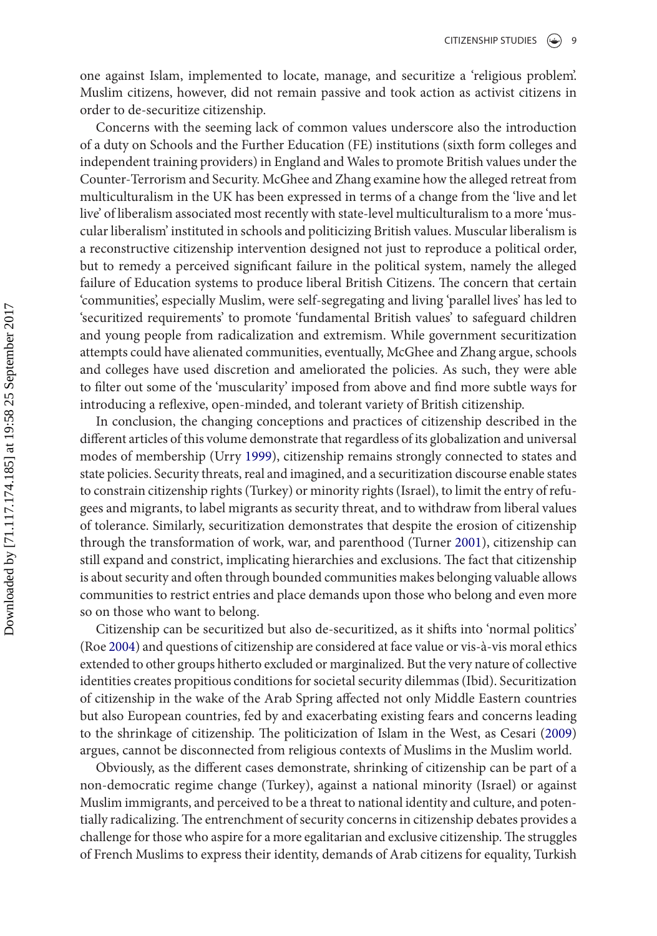one against Islam, implemented to locate, manage, and securitize a 'religious problem'. Muslim citizens, however, did not remain passive and took action as activist citizens in order to de-securitize citizenship.

Concerns with the seeming lack of common values underscore also the introduction of a duty on Schools and the Further Education (FE) institutions (sixth form colleges and independent training providers) in England and Wales to promote British values under the Counter-Terrorism and Security. McGhee and Zhang examine how the alleged retreat from multiculturalism in the UK has been expressed in terms of a change from the 'live and let live' of liberalism associated most recently with state-level multiculturalism to a more 'muscular liberalism' instituted in schools and politicizing British values. Muscular liberalism is a reconstructive citizenship intervention designed not just to reproduce a political order, but to remedy a perceived significant failure in the political system, namely the alleged failure of Education systems to produce liberal British Citizens. The concern that certain 'communities', especially Muslim, were self-segregating and living 'parallel lives' has led to 'securitized requirements' to promote 'fundamental British values' to safeguard children and young people from radicalization and extremism. While government securitization attempts could have alienated communities, eventually, McGhee and Zhang argue, schools and colleges have used discretion and ameliorated the policies. As such, they were able to filter out some of the 'muscularity' imposed from above and find more subtle ways for introducing a reflexive, open-minded, and tolerant variety of British citizenship.

<span id="page-9-2"></span>In conclusion, the changing conceptions and practices of citizenship described in the different articles of this volume demonstrate that regardless of its globalization and universal modes of membership (Urry [1999](#page-11-7)), citizenship remains strongly connected to states and state policies. Security threats, real and imagined, and a securitization discourse enable states to constrain citizenship rights (Turkey) or minority rights (Israel), to limit the entry of refugees and migrants, to label migrants as security threat, and to withdraw from liberal values of tolerance. Similarly, securitization demonstrates that despite the erosion of citizenship through the transformation of work, war, and parenthood (Turner [2001\)](#page-11-1), citizenship can still expand and constrict, implicating hierarchies and exclusions. The fact that citizenship is about security and often through bounded communities makes belonging valuable allows communities to restrict entries and place demands upon those who belong and even more so on those who want to belong.

<span id="page-9-1"></span>Citizenship can be securitized but also de-securitized, as it shifts into 'normal politics' (Roe [2004\)](#page-11-8) and questions of citizenship are considered at face value or vis-à-vis moral ethics extended to other groups hitherto excluded or marginalized. But the very nature of collective identities creates propitious conditions for societal security dilemmas (Ibid). Securitization of citizenship in the wake of the Arab Spring affected not only Middle Eastern countries but also European countries, fed by and exacerbating existing fears and concerns leading to the shrinkage of citizenship. The politicization of Islam in the West, as Cesari [\(2009\)](#page-10-19) argues, cannot be disconnected from religious contexts of Muslims in the Muslim world.

<span id="page-9-0"></span>Obviously, as the different cases demonstrate, shrinking of citizenship can be part of a non-democratic regime change (Turkey), against a national minority (Israel) or against Muslim immigrants, and perceived to be a threat to national identity and culture, and potentially radicalizing. The entrenchment of security concerns in citizenship debates provides a challenge for those who aspire for a more egalitarian and exclusive citizenship. The struggles of French Muslims to express their identity, demands of Arab citizens for equality, Turkish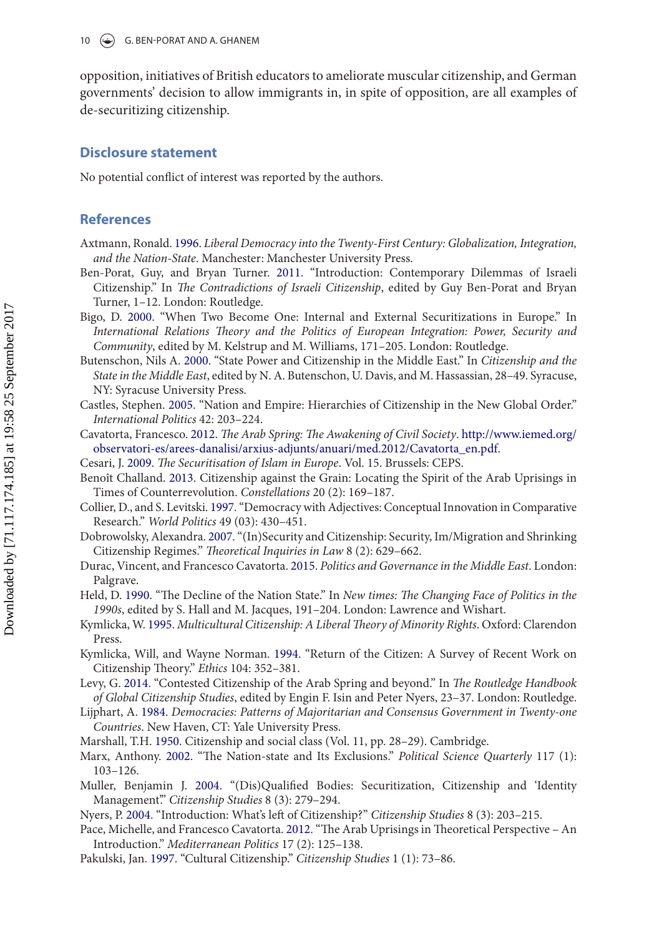opposition, initiatives of British educators to ameliorate muscular citizenship, and German governments' decision to allow immigrants in, in spite of opposition, are all examples of de-securitizing citizenship.

## **Disclosure statement**

No potential conflict of interest was reported by the authors.

## **References**

- <span id="page-10-4"></span>Axtmann, Ronald. [1996](#page-3-0). *Liberal Democracy into the Twenty-First Century: Globalization, Integration, and the Nation-State*. Manchester: Manchester University Press.
- <span id="page-10-6"></span>Ben-Porat, Guy, and Bryan Turner. [2011.](#page-3-1) "Introduction: Contemporary Dilemmas of Israeli Citizenship." In *The Contradictions of Israeli Citizenship*, edited by Guy Ben-Porat and Bryan Turner, 1–12. London: Routledge.
- <span id="page-10-17"></span>Bigo, D. [2000](#page-7-0). "When Two Become One: Internal and External Securitizations in Europe." In *International Relations Theory and the Politics of European Integration: Power, Security and Community*, edited by M. Kelstrup and M. Williams, 171–205. London: Routledge.
- <span id="page-10-13"></span>Butenschon, Nils A. [2000](#page-6-0). "State Power and Citizenship in the Middle East." In *Citizenship and the State in the Middle East*, edited by N. A. Butenschon, U. Davis, and M. Hassassian, 28–49. Syracuse, NY: Syracuse University Press.
- <span id="page-10-7"></span>Castles, Stephen. [2005.](#page-3-2) "Nation and Empire: Hierarchies of Citizenship in the New Global Order." *International Politics* 42: 203–224.
- <span id="page-10-15"></span>Cavatorta, Francesco. [2012.](#page-6-1) *The Arab Spring: The Awakening of Civil Society*. [http://www.iemed.org/](http://www.iemed.org/observatori-es/arees-danalisi/arxius-adjunts/anuari/med.2012/Cavatorta_en.pdf) [observatori-es/arees-danalisi/arxius-adjunts/anuari/med.2012/Cavatorta\\_en.pdf.](http://www.iemed.org/observatori-es/arees-danalisi/arxius-adjunts/anuari/med.2012/Cavatorta_en.pdf)
- <span id="page-10-19"></span>Cesari, J. [2009.](#page-9-0) *The Securitisation of Islam in Europe*. Vol. 15. Brussels: CEPS.
- Benoît Challand. 2013. Citizenship against the Grain: Locating the Spirit of the Arab Uprisings in Times of Counterrevolution. *Constellations* 20 (2): 169–187.
- <span id="page-10-5"></span>Collier, D., and S. Levitski. [1997.](#page-3-3) "Democracy with Adjectives: Conceptual Innovation in Comparative Research." *World Politics* 49 (03): 430–451.
- <span id="page-10-11"></span>Dobrowolsky, Alexandra. [2007.](#page-4-0) "(In)Security and Citizenship: Security, Im/Migration and Shrinking Citizenship Regimes." *Theoretical Inquiries in Law* 8 (2): 629–662.
- <span id="page-10-12"></span>Durac, Vincent, and Francesco Cavatorta. [2015.](#page-5-0) *Politics and Governance in the Middle East*. London: Palgrave.
- <span id="page-10-0"></span>Held, D. [1990](#page-2-0). "The Decline of the Nation State." In *New times: The Changing Face of Politics in the 1990s*, edited by S. Hall and M. Jacques, 191–204. London: Lawrence and Wishart.
- <span id="page-10-2"></span>Kymlicka, W. [1995](#page-3-4). *Multicultural Citizenship: A Liberal Theory of Minority Rights*. Oxford: Clarendon Press.
- <span id="page-10-3"></span>Kymlicka, Will, and Wayne Norman. [1994](#page-3-5). "Return of the Citizen: A Survey of Recent Work on Citizenship Theory." *Ethics* 104: 352–381.
- <span id="page-10-14"></span>Levy, G. [2014](#page-6-2). "Contested Citizenship of the Arab Spring and beyond." In *The Routledge Handbook of Global Citizenship Studies*, edited by Engin F. Isin and Peter Nyers, 23–37. London: Routledge.
- <span id="page-10-1"></span>Lijphart, A. [1984](#page-3-6). *Democracies: Patterns of Majoritarian and Consensus Government in Twenty-one Countries*. New Haven, CT: Yale University Press.
- Marshall, T.H. 1950. Citizenship and social class (Vol. 11, pp. 28–29). Cambridge.
- <span id="page-10-9"></span>Marx, Anthony. [2002.](#page-4-1) "The Nation-state and Its Exclusions." *Political Science Quarterly* 117 (1): 103–126.
- <span id="page-10-10"></span>Muller, Benjamin J. [2004.](#page-4-2) "(Dis)Qualified Bodies: Securitization, Citizenship and 'Identity Management'." *Citizenship Studies* 8 (3): 279–294.
- <span id="page-10-18"></span>Nyers, P. [2004.](#page-7-1) "Introduction: What's left of Citizenship?" *Citizenship Studies* 8 (3): 203–215.
- <span id="page-10-16"></span>Pace, Michelle, and Francesco Cavatorta. [2012](#page-6-3). "The Arab Uprisings in Theoretical Perspective – An Introduction." *Mediterranean Politics* 17 (2): 125–138.
- <span id="page-10-8"></span>Pakulski, Jan. [1997](#page-3-7). "Cultural Citizenship." *Citizenship Studies* 1 (1): 73–86.